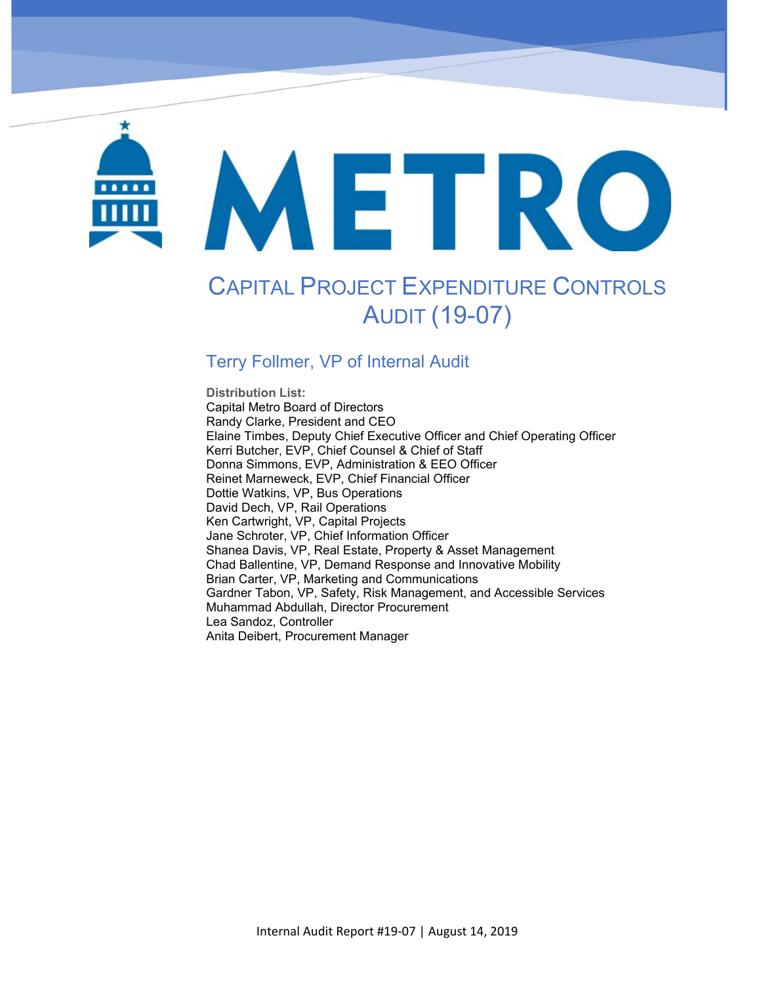# METRO

Capital Project Expenditure Controls Audit (19‐07)

# CAPITAL PROJECT EXPENDITURE CONTROLS AUDIT (19-07)

#### Terry Follmer, VP of Internal Audit

**Distribution List:**  Capital Metro Board of Directors Randy Clarke, President and CEO Elaine Timbes, Deputy Chief Executive Officer and Chief Operating Officer Kerri Butcher, EVP, Chief Counsel & Chief of Staff Donna Simmons, EVP, Administration & EEO Officer Reinet Marneweck, EVP, Chief Financial Officer Dottie Watkins, VP, Bus Operations David Dech, VP, Rail Operations Ken Cartwright, VP, Capital Projects Jane Schroter, VP, Chief Information Officer Shanea Davis, VP, Real Estate, Property & Asset Management Chad Ballentine, VP, Demand Response and Innovative Mobility Brian Carter, VP, Marketing and Communications Gardner Tabon, VP, Safety, Risk Management, and Accessible Services Muhammad Abdullah, Director Procurement Lea Sandoz, Controller Anita Deibert, Procurement Manager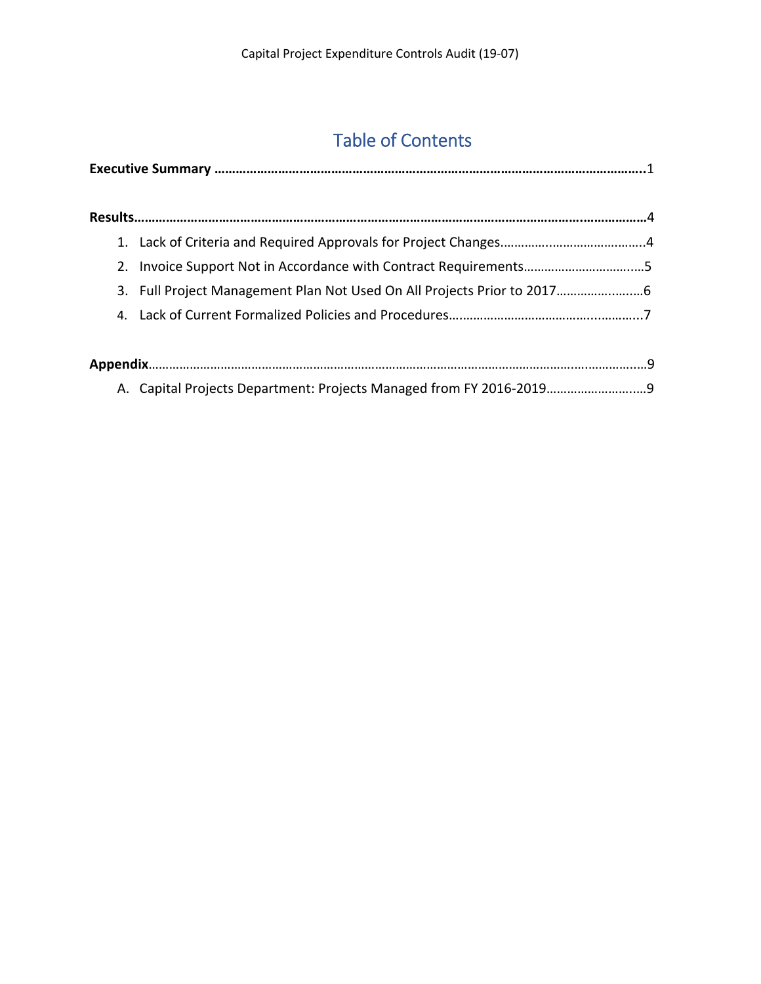## Table of Contents

| 2. Invoice Support Not in Accordance with Contract Requirements5        |  |
|-------------------------------------------------------------------------|--|
| 3. Full Project Management Plan Not Used On All Projects Prior to 20176 |  |
|                                                                         |  |
|                                                                         |  |
|                                                                         |  |
| A. Capital Projects Department: Projects Managed from FY 2016-2019      |  |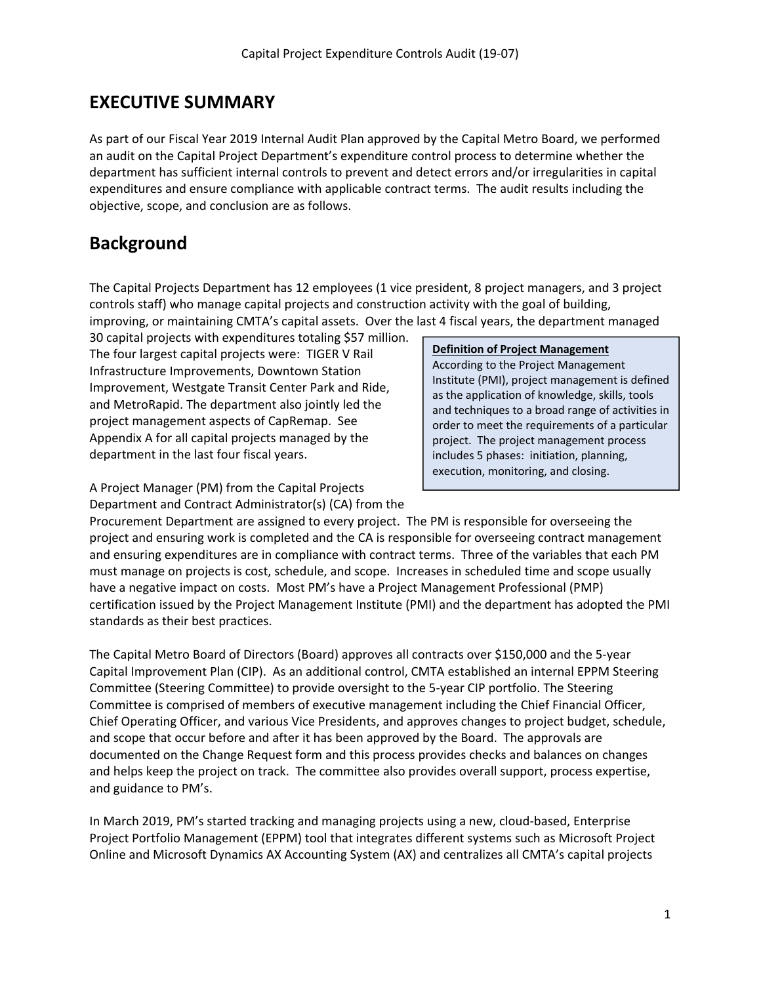#### **EXECUTIVE SUMMARY**

As part of our Fiscal Year 2019 Internal Audit Plan approved by the Capital Metro Board, we performed an audit on the Capital Project Department's expenditure control process to determine whether the department has sufficient internal controls to prevent and detect errors and/or irregularities in capital expenditures and ensure compliance with applicable contract terms. The audit results including the objective, scope, and conclusion are as follows.

#### **Background**

The Capital Projects Department has 12 employees (1 vice president, 8 project managers, and 3 project controls staff) who manage capital projects and construction activity with the goal of building, improving, or maintaining CMTA's capital assets. Over the last 4 fiscal years, the department managed

30 capital projects with expenditures totaling \$57 million. The four largest capital projects were: TIGER V Rail Infrastructure Improvements, Downtown Station Improvement, Westgate Transit Center Park and Ride, and MetroRapid. The department also jointly led the project management aspects of CapRemap. See Appendix A for all capital projects managed by the department in the last four fiscal years.

A Project Manager (PM) from the Capital Projects Department and Contract Administrator(s) (CA) from the

#### **Definition of Project Management**

According to the Project Management Institute (PMI), project management is defined as the application of knowledge, skills, tools and techniques to a broad range of activities in order to meet the requirements of a particular project. The project management process includes 5 phases: initiation, planning, execution, monitoring, and closing.

Procurement Department are assigned to every project. The PM is responsible for overseeing the project and ensuring work is completed and the CA is responsible for overseeing contract management and ensuring expenditures are in compliance with contract terms. Three of the variables that each PM must manage on projects is cost, schedule, and scope. Increases in scheduled time and scope usually have a negative impact on costs. Most PM's have a Project Management Professional (PMP) certification issued by the Project Management Institute (PMI) and the department has adopted the PMI standards as their best practices.

The Capital Metro Board of Directors (Board) approves all contracts over \$150,000 and the 5‐year Capital Improvement Plan (CIP). As an additional control, CMTA established an internal EPPM Steering Committee (Steering Committee) to provide oversight to the 5‐year CIP portfolio. The Steering Committee is comprised of members of executive management including the Chief Financial Officer, Chief Operating Officer, and various Vice Presidents, and approves changes to project budget, schedule, and scope that occur before and after it has been approved by the Board. The approvals are documented on the Change Request form and this process provides checks and balances on changes and helps keep the project on track. The committee also provides overall support, process expertise, and guidance to PM's.

In March 2019, PM's started tracking and managing projects using a new, cloud-based, Enterprise Project Portfolio Management (EPPM) tool that integrates different systems such as Microsoft Project Online and Microsoft Dynamics AX Accounting System (AX) and centralizes all CMTA's capital projects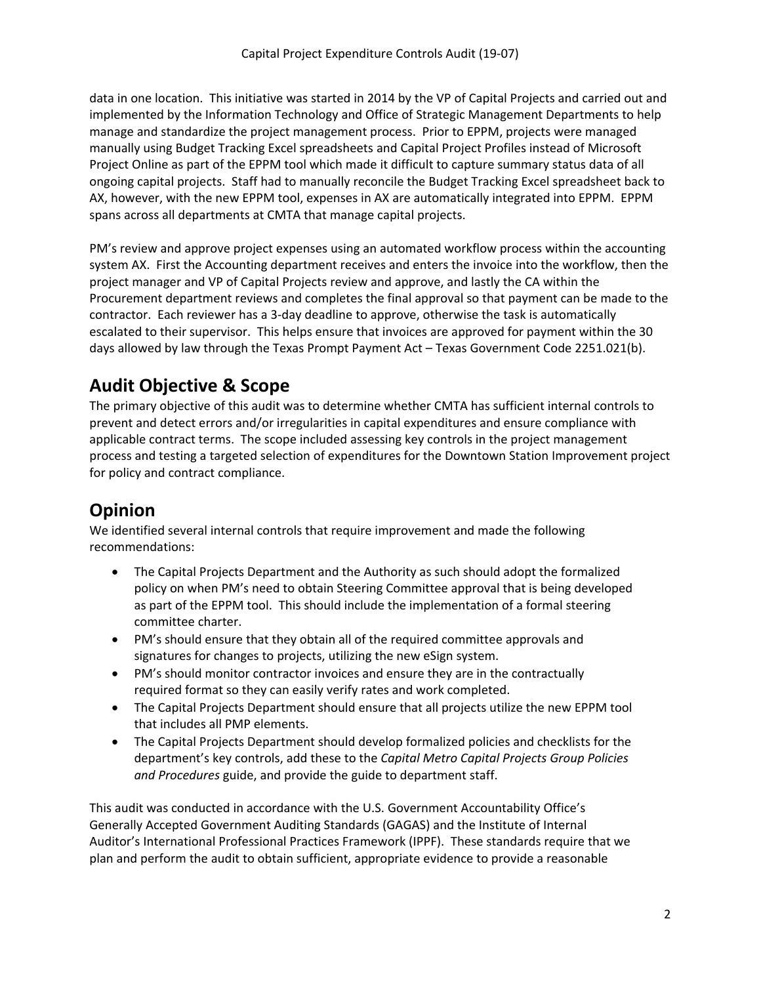data in one location. This initiative was started in 2014 by the VP of Capital Projects and carried out and implemented by the Information Technology and Office of Strategic Management Departments to help manage and standardize the project management process. Prior to EPPM, projects were managed manually using Budget Tracking Excel spreadsheets and Capital Project Profiles instead of Microsoft Project Online as part of the EPPM tool which made it difficult to capture summary status data of all ongoing capital projects. Staff had to manually reconcile the Budget Tracking Excel spreadsheet back to AX, however, with the new EPPM tool, expenses in AX are automatically integrated into EPPM. EPPM spans across all departments at CMTA that manage capital projects.

PM's review and approve project expenses using an automated workflow process within the accounting system AX. First the Accounting department receives and enters the invoice into the workflow, then the project manager and VP of Capital Projects review and approve, and lastly the CA within the Procurement department reviews and completes the final approval so that payment can be made to the contractor. Each reviewer has a 3‐day deadline to approve, otherwise the task is automatically escalated to their supervisor. This helps ensure that invoices are approved for payment within the 30 days allowed by law through the Texas Prompt Payment Act – Texas Government Code 2251.021(b).

#### **Audit Objective & Scope**

The primary objective of this audit was to determine whether CMTA has sufficient internal controls to prevent and detect errors and/or irregularities in capital expenditures and ensure compliance with applicable contract terms. The scope included assessing key controls in the project management process and testing a targeted selection of expenditures for the Downtown Station Improvement project for policy and contract compliance.

### **Opinion**

We identified several internal controls that require improvement and made the following recommendations:

- The Capital Projects Department and the Authority as such should adopt the formalized policy on when PM's need to obtain Steering Committee approval that is being developed as part of the EPPM tool. This should include the implementation of a formal steering committee charter.
- PM's should ensure that they obtain all of the required committee approvals and signatures for changes to projects, utilizing the new eSign system.
- PM's should monitor contractor invoices and ensure they are in the contractually required format so they can easily verify rates and work completed.
- The Capital Projects Department should ensure that all projects utilize the new EPPM tool that includes all PMP elements.
- The Capital Projects Department should develop formalized policies and checklists for the department's key controls, add these to the *Capital Metro Capital Projects Group Policies and Procedures* guide, and provide the guide to department staff.

This audit was conducted in accordance with the U.S. Government Accountability Office's Generally Accepted Government Auditing Standards (GAGAS) and the Institute of Internal Auditor's International Professional Practices Framework (IPPF). These standards require that we plan and perform the audit to obtain sufficient, appropriate evidence to provide a reasonable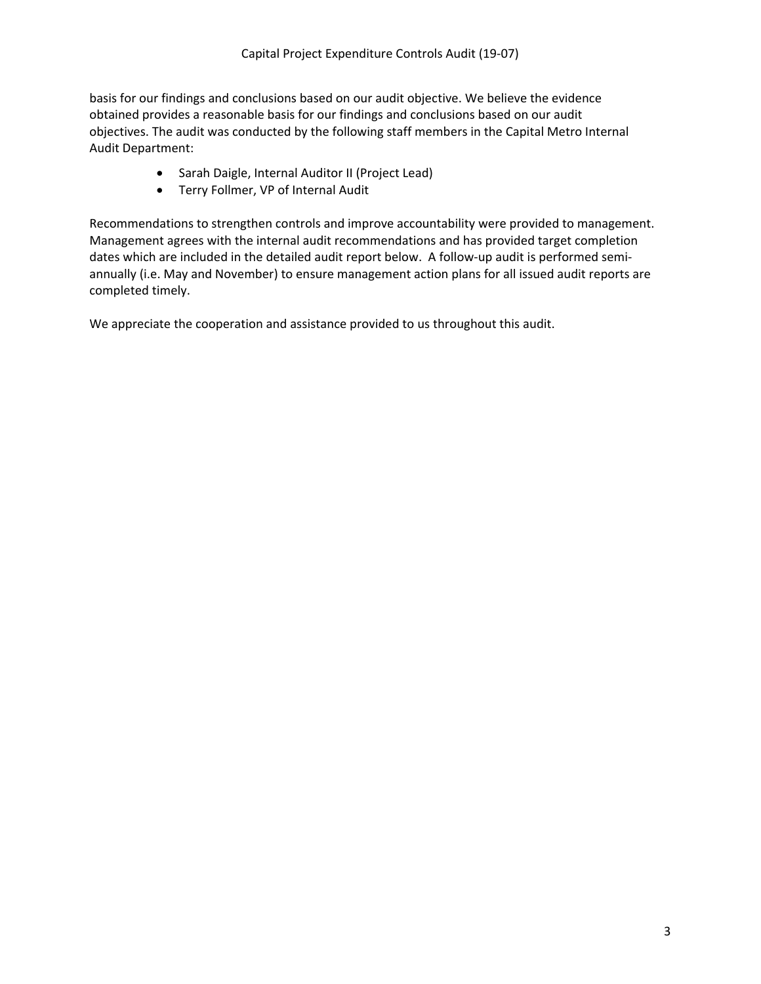basis for our findings and conclusions based on our audit objective. We believe the evidence obtained provides a reasonable basis for our findings and conclusions based on our audit objectives. The audit was conducted by the following staff members in the Capital Metro Internal Audit Department:

- Sarah Daigle, Internal Auditor II (Project Lead)
- Terry Follmer, VP of Internal Audit

Recommendations to strengthen controls and improve accountability were provided to management. Management agrees with the internal audit recommendations and has provided target completion dates which are included in the detailed audit report below. A follow‐up audit is performed semi‐ annually (i.e. May and November) to ensure management action plans for all issued audit reports are completed timely.

We appreciate the cooperation and assistance provided to us throughout this audit.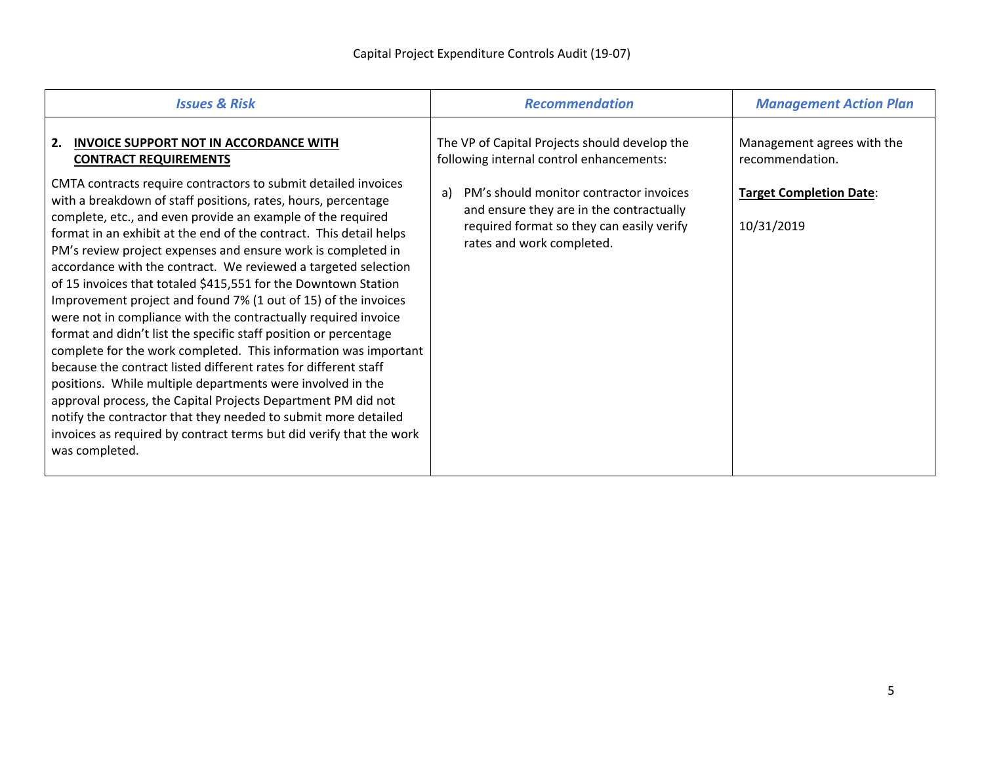| <b>Issues &amp; Risk</b>                                                                                                                                                                                                                                                                                                                                                                                                                                                                                                                                                                                                                                                                                                                                                                                                                                                                                                                                                                                                                                                                                                                                                                               | <b>Recommendation</b>                                                                                                                                                                                                                                            | <b>Management Action Plan</b>                                                                 |  |
|--------------------------------------------------------------------------------------------------------------------------------------------------------------------------------------------------------------------------------------------------------------------------------------------------------------------------------------------------------------------------------------------------------------------------------------------------------------------------------------------------------------------------------------------------------------------------------------------------------------------------------------------------------------------------------------------------------------------------------------------------------------------------------------------------------------------------------------------------------------------------------------------------------------------------------------------------------------------------------------------------------------------------------------------------------------------------------------------------------------------------------------------------------------------------------------------------------|------------------------------------------------------------------------------------------------------------------------------------------------------------------------------------------------------------------------------------------------------------------|-----------------------------------------------------------------------------------------------|--|
| <b>INVOICE SUPPORT NOT IN ACCORDANCE WITH</b><br>2.<br><b>CONTRACT REQUIREMENTS</b><br>CMTA contracts require contractors to submit detailed invoices<br>with a breakdown of staff positions, rates, hours, percentage<br>complete, etc., and even provide an example of the required<br>format in an exhibit at the end of the contract. This detail helps<br>PM's review project expenses and ensure work is completed in<br>accordance with the contract. We reviewed a targeted selection<br>of 15 invoices that totaled \$415,551 for the Downtown Station<br>Improvement project and found 7% (1 out of 15) of the invoices<br>were not in compliance with the contractually required invoice<br>format and didn't list the specific staff position or percentage<br>complete for the work completed. This information was important<br>because the contract listed different rates for different staff<br>positions. While multiple departments were involved in the<br>approval process, the Capital Projects Department PM did not<br>notify the contractor that they needed to submit more detailed<br>invoices as required by contract terms but did verify that the work<br>was completed. | The VP of Capital Projects should develop the<br>following internal control enhancements:<br>PM's should monitor contractor invoices<br>a)<br>and ensure they are in the contractually<br>required format so they can easily verify<br>rates and work completed. | Management agrees with the<br>recommendation.<br><b>Target Completion Date:</b><br>10/31/2019 |  |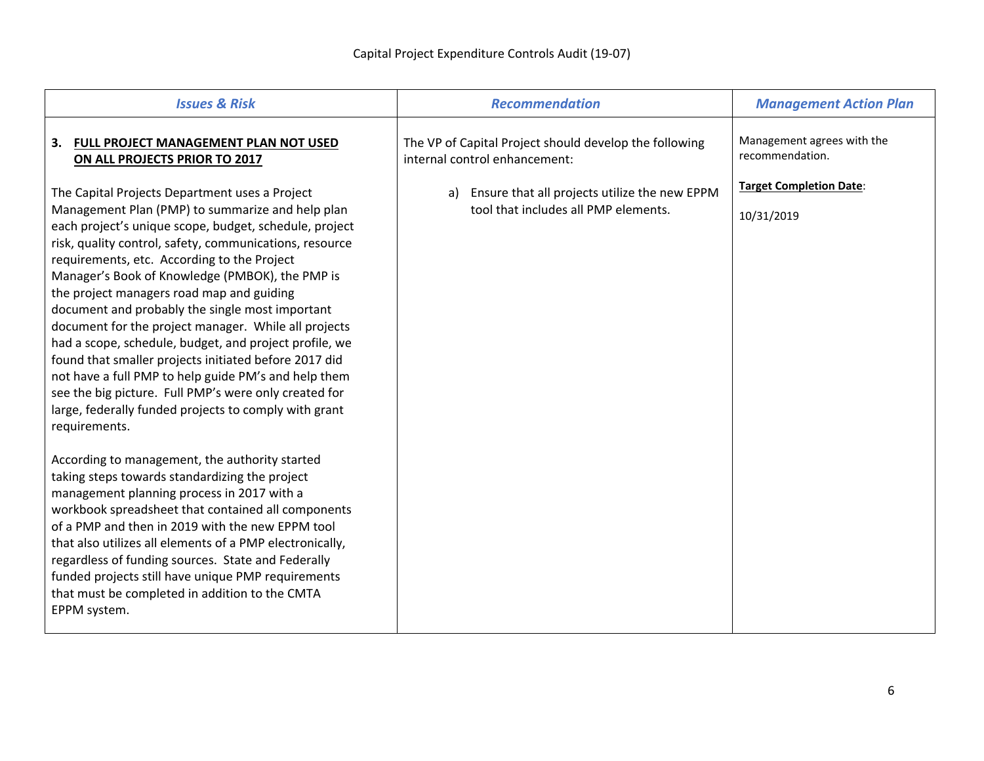| <b>Issues &amp; Risk</b>                                                                                                                                                                                                                                                                                                                                                                                                                                                                                                                                       | <b>Recommendation</b>                                                                                                                                                               | <b>Management Action Plan</b>                                                                 |
|----------------------------------------------------------------------------------------------------------------------------------------------------------------------------------------------------------------------------------------------------------------------------------------------------------------------------------------------------------------------------------------------------------------------------------------------------------------------------------------------------------------------------------------------------------------|-------------------------------------------------------------------------------------------------------------------------------------------------------------------------------------|-----------------------------------------------------------------------------------------------|
| 3. FULL PROJECT MANAGEMENT PLAN NOT USED<br>ON ALL PROJECTS PRIOR TO 2017<br>The Capital Projects Department uses a Project<br>Management Plan (PMP) to summarize and help plan<br>each project's unique scope, budget, schedule, project<br>risk, quality control, safety, communications, resource<br>requirements, etc. According to the Project<br>Manager's Book of Knowledge (PMBOK), the PMP is<br>the project managers road map and guiding<br>document and probably the single most important<br>document for the project manager. While all projects | The VP of Capital Project should develop the following<br>internal control enhancement:<br>a) Ensure that all projects utilize the new EPPM<br>tool that includes all PMP elements. | Management agrees with the<br>recommendation.<br><b>Target Completion Date:</b><br>10/31/2019 |
| had a scope, schedule, budget, and project profile, we<br>found that smaller projects initiated before 2017 did<br>not have a full PMP to help guide PM's and help them<br>see the big picture. Full PMP's were only created for<br>large, federally funded projects to comply with grant<br>requirements.                                                                                                                                                                                                                                                     |                                                                                                                                                                                     |                                                                                               |
| According to management, the authority started<br>taking steps towards standardizing the project<br>management planning process in 2017 with a<br>workbook spreadsheet that contained all components<br>of a PMP and then in 2019 with the new EPPM tool<br>that also utilizes all elements of a PMP electronically,<br>regardless of funding sources. State and Federally<br>funded projects still have unique PMP requirements<br>that must be completed in addition to the CMTA<br>EPPM system.                                                             |                                                                                                                                                                                     |                                                                                               |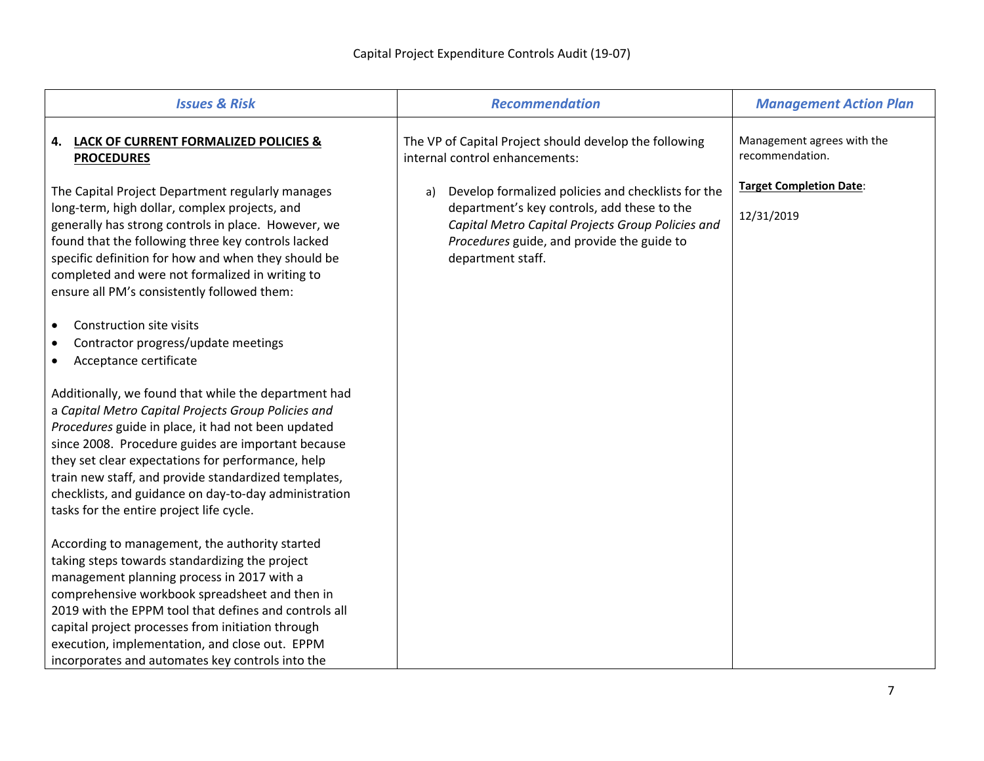| <b>Issues &amp; Risk</b>                                                                                                                                                                                                                                                                                                                                                                                                                  | <b>Recommendation</b>                                                                                                                                                                                                           | <b>Management Action Plan</b>                 |  |
|-------------------------------------------------------------------------------------------------------------------------------------------------------------------------------------------------------------------------------------------------------------------------------------------------------------------------------------------------------------------------------------------------------------------------------------------|---------------------------------------------------------------------------------------------------------------------------------------------------------------------------------------------------------------------------------|-----------------------------------------------|--|
| <b>LACK OF CURRENT FORMALIZED POLICIES &amp;</b><br>4.<br><b>PROCEDURES</b>                                                                                                                                                                                                                                                                                                                                                               | The VP of Capital Project should develop the following<br>internal control enhancements:                                                                                                                                        | Management agrees with the<br>recommendation. |  |
| The Capital Project Department regularly manages<br>long-term, high dollar, complex projects, and<br>generally has strong controls in place. However, we<br>found that the following three key controls lacked<br>specific definition for how and when they should be<br>completed and were not formalized in writing to<br>ensure all PM's consistently followed them:                                                                   | Develop formalized policies and checklists for the<br>a)<br>department's key controls, add these to the<br>Capital Metro Capital Projects Group Policies and<br>Procedures guide, and provide the guide to<br>department staff. | <b>Target Completion Date:</b><br>12/31/2019  |  |
| Construction site visits<br>$\bullet$<br>Contractor progress/update meetings<br>٠<br>Acceptance certificate<br>٠                                                                                                                                                                                                                                                                                                                          |                                                                                                                                                                                                                                 |                                               |  |
| Additionally, we found that while the department had<br>a Capital Metro Capital Projects Group Policies and<br>Procedures guide in place, it had not been updated<br>since 2008. Procedure guides are important because<br>they set clear expectations for performance, help<br>train new staff, and provide standardized templates,<br>checklists, and guidance on day-to-day administration<br>tasks for the entire project life cycle. |                                                                                                                                                                                                                                 |                                               |  |
| According to management, the authority started<br>taking steps towards standardizing the project<br>management planning process in 2017 with a<br>comprehensive workbook spreadsheet and then in<br>2019 with the EPPM tool that defines and controls all<br>capital project processes from initiation through<br>execution, implementation, and close out. EPPM<br>incorporates and automates key controls into the                      |                                                                                                                                                                                                                                 |                                               |  |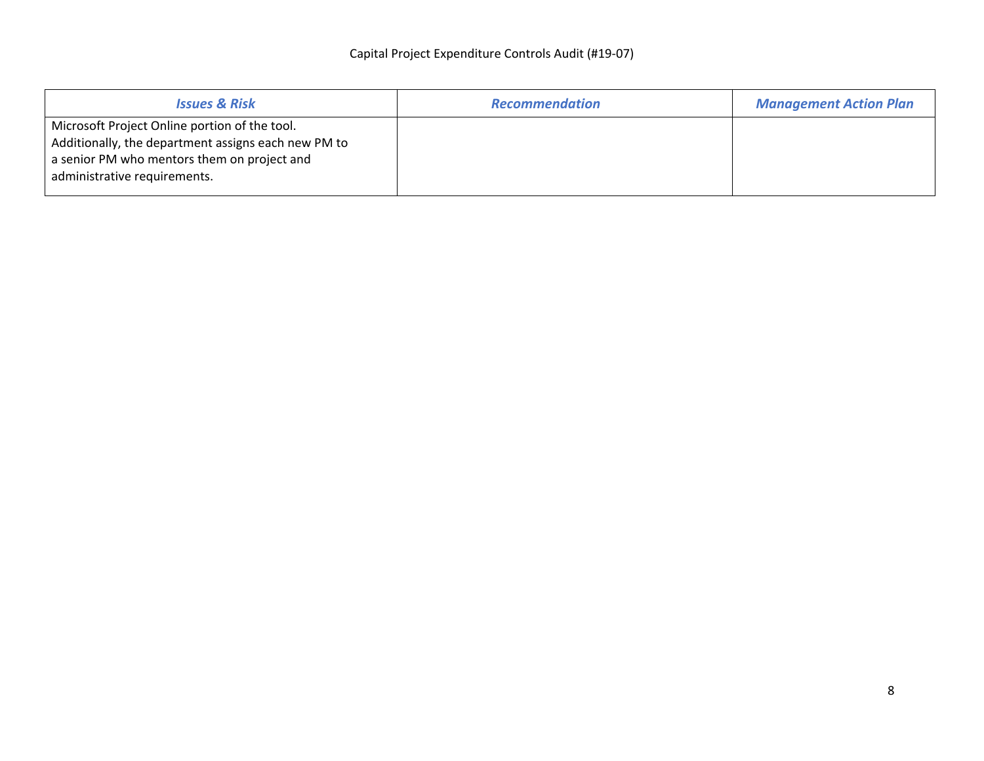| <b>Issues &amp; Risk</b>                                                                                                                                                            | <b>Recommendation</b> | <b>Management Action Plan</b> |
|-------------------------------------------------------------------------------------------------------------------------------------------------------------------------------------|-----------------------|-------------------------------|
| Microsoft Project Online portion of the tool.<br>Additionally, the department assigns each new PM to<br>a senior PM who mentors them on project and<br>administrative requirements. |                       |                               |